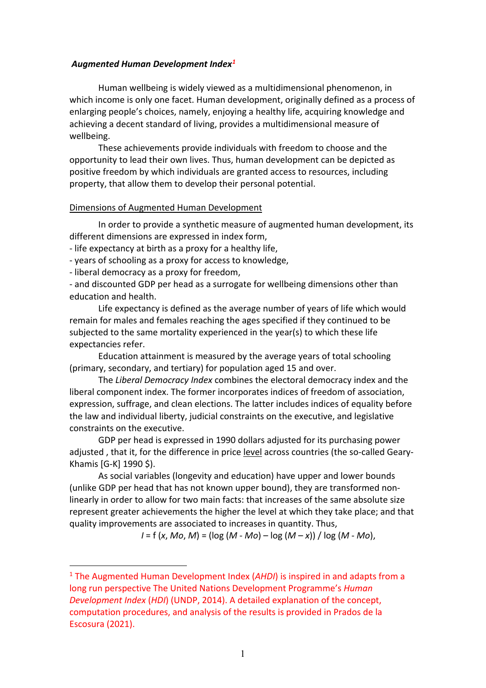### *Augmented Human Development Index[1](#page-0-0)*

Human wellbeing is widely viewed as a multidimensional phenomenon, in which income is only one facet. Human development, originally defined as a process of enlarging people's choices, namely, enjoying a healthy life, acquiring knowledge and achieving a decent standard of living, provides a multidimensional measure of wellbeing.

These achievements provide individuals with freedom to choose and the opportunity to lead their own lives. Thus, human development can be depicted as positive freedom by which individuals are granted access to resources, including property, that allow them to develop their personal potential.

#### Dimensions of Augmented Human Development

In order to provide a synthetic measure of augmented human development, its different dimensions are expressed in index form,

- life expectancy at birth as a proxy for a healthy life,

- years of schooling as a proxy for access to knowledge,

- liberal democracy as a proxy for freedom,

- and discounted GDP per head as a surrogate for wellbeing dimensions other than education and health.

Life expectancy is defined as the average number of years of life which would remain for males and females reaching the ages specified if they continued to be subjected to the same mortality experienced in the year(s) to which these life expectancies refer.

Education attainment is measured by the average years of total schooling (primary, secondary, and tertiary) for population aged 15 and over.

The *Liberal Democracy Index* combines the electoral democracy index and the liberal component index. The former incorporates indices of freedom of association, expression, suffrage, and clean elections. The latter includes indices of equality before the law and individual liberty, judicial constraints on the executive, and legislative constraints on the executive.

GDP per head is expressed in 1990 dollars adjusted for its purchasing power adjusted , that it, for the difference in price level across countries (the so-called Geary-Khamis [G-K] 1990 \$).

As social variables (longevity and education) have upper and lower bounds (unlike GDP per head that has not known upper bound), they are transformed nonlinearly in order to allow for two main facts: that increases of the same absolute size represent greater achievements the higher the level at which they take place; and that quality improvements are associated to increases in quantity. Thus,

*I* = f (*x*, *Mo*, *M*) = (log (*M* - *Mo*) – log (*M* – *x*)) / log (*M* - *Mo*),

<span id="page-0-0"></span><sup>1</sup> The Augmented Human Development Index (*AHDI*) is inspired in and adapts from a long run perspective The United Nations Development Programme's *Human Development Index* (*HDI*) (UNDP, 2014). A detailed explanation of the concept, computation procedures, and analysis of the results is provided in Prados de la Escosura (2021).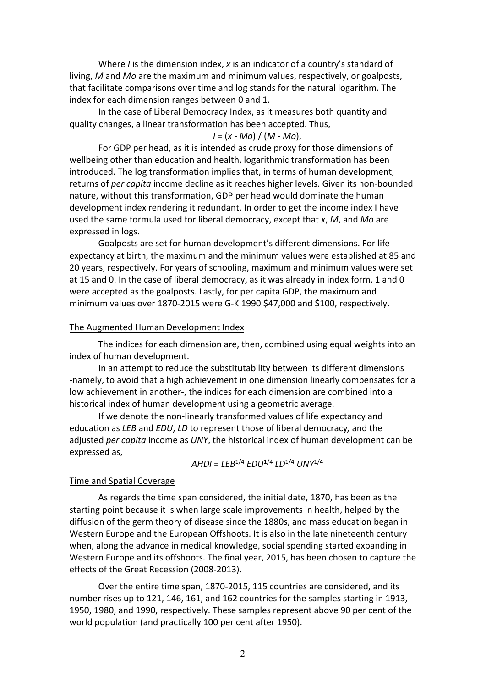Where *I* is the dimension index, *x* is an indicator of a country's standard of living, *M* and *Mo* are the maximum and minimum values, respectively, or goalposts, that facilitate comparisons over time and log stands for the natural logarithm. The index for each dimension ranges between 0 and 1.

In the case of Liberal Democracy Index, as it measures both quantity and quality changes, a linear transformation has been accepted. Thus,

### *I* = (*x* - *Mo*) / (*M* - *Mo*),

For GDP per head, as it is intended as crude proxy for those dimensions of wellbeing other than education and health, logarithmic transformation has been introduced. The log transformation implies that, in terms of human development, returns of *per capita* income decline as it reaches higher levels. Given its non-bounded nature, without this transformation, GDP per head would dominate the human development index rendering it redundant. In order to get the income index I have used the same formula used for liberal democracy, except that *x*, *M*, and *Mo* are expressed in logs.

Goalposts are set for human development's different dimensions. For life expectancy at birth, the maximum and the minimum values were established at 85 and 20 years, respectively. For years of schooling, maximum and minimum values were set at 15 and 0. In the case of liberal democracy, as it was already in index form, 1 and 0 were accepted as the goalposts. Lastly, for per capita GDP, the maximum and minimum values over 1870-2015 were G-K 1990 \$47,000 and \$100, respectively.

## The Augmented Human Development Index

The indices for each dimension are, then, combined using equal weights into an index of human development.

In an attempt to reduce the substitutability between its different dimensions -namely, to avoid that a high achievement in one dimension linearly compensates for a low achievement in another-, the indices for each dimension are combined into a historical index of human development using a geometric average.

If we denote the non-linearly transformed values of life expectancy and education as *LEB* and *EDU*, *LD* to represent those of liberal democracy*,* and the adjusted *per capita* income as *UNY*, the historical index of human development can be expressed as,

# *AHDI* = *LEB*1/4 *EDU*1/4 *LD*1/4 *UNY*1/4

### Time and Spatial Coverage

As regards the time span considered, the initial date, 1870, has been as the starting point because it is when large scale improvements in health, helped by the diffusion of the germ theory of disease since the 1880s, and mass education began in Western Europe and the European Offshoots. It is also in the late nineteenth century when, along the advance in medical knowledge, social spending started expanding in Western Europe and its offshoots. The final year, 2015, has been chosen to capture the effects of the Great Recession (2008-2013).

Over the entire time span, 1870-2015, 115 countries are considered, and its number rises up to 121, 146, 161, and 162 countries for the samples starting in 1913, 1950, 1980, and 1990, respectively. These samples represent above 90 per cent of the world population (and practically 100 per cent after 1950).